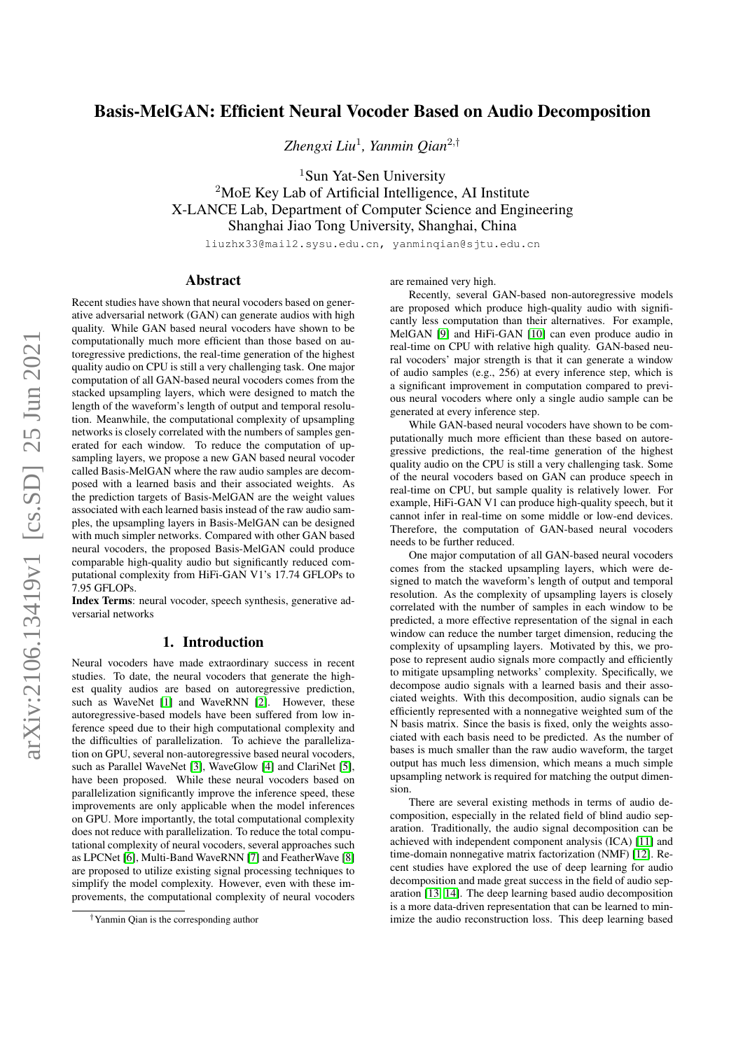# Basis-MelGAN: Efficient Neural Vocoder Based on Audio Decomposition

*Zhengxi Liu*<sup>1</sup> *, Yanmin Qian*<sup>2</sup>,†

<sup>1</sup>Sun Yat-Sen University <sup>2</sup>MoE Key Lab of Artificial Intelligence, AI Institute

X-LANCE Lab, Department of Computer Science and Engineering Shanghai Jiao Tong University, Shanghai, China

liuzhx33@mail2.sysu.edu.cn, yanminqian@sjtu.edu.cn

# Abstract

Recent studies have shown that neural vocoders based on generative adversarial network (GAN) can generate audios with high quality. While GAN based neural vocoders have shown to be computationally much more efficient than those based on autoregressive predictions, the real-time generation of the highest quality audio on CPU is still a very challenging task. One major computation of all GAN-based neural vocoders comes from the stacked upsampling layers, which were designed to match the length of the waveform's length of output and temporal resolution. Meanwhile, the computational complexity of upsampling networks is closely correlated with the numbers of samples generated for each window. To reduce the computation of upsampling layers, we propose a new GAN based neural vocoder called Basis-MelGAN where the raw audio samples are decomposed with a learned basis and their associated weights. As the prediction targets of Basis-MelGAN are the weight values associated with each learned basis instead of the raw audio samples, the upsampling layers in Basis-MelGAN can be designed with much simpler networks. Compared with other GAN based neural vocoders, the proposed Basis-MelGAN could produce comparable high-quality audio but significantly reduced computational complexity from HiFi-GAN V1's 17.74 GFLOPs to 7.95 GFLOPs.

Index Terms: neural vocoder, speech synthesis, generative adversarial networks

# 1. Introduction

Neural vocoders have made extraordinary success in recent studies. To date, the neural vocoders that generate the highest quality audios are based on autoregressive prediction, such as WaveNet [\[1\]](#page-4-0) and WaveRNN [\[2\]](#page-4-1). However, these autoregressive-based models have been suffered from low inference speed due to their high computational complexity and the difficulties of parallelization. To achieve the parallelization on GPU, several non-autoregressive based neural vocoders, such as Parallel WaveNet [\[3\]](#page-4-2), WaveGlow [\[4\]](#page-4-3) and ClariNet [\[5\]](#page-4-4), have been proposed. While these neural vocoders based on parallelization significantly improve the inference speed, these improvements are only applicable when the model inferences on GPU. More importantly, the total computational complexity does not reduce with parallelization. To reduce the total computational complexity of neural vocoders, several approaches such as LPCNet [\[6\]](#page-4-5), Multi-Band WaveRNN [\[7\]](#page-4-6) and FeatherWave [\[8\]](#page-4-7) are proposed to utilize existing signal processing techniques to simplify the model complexity. However, even with these improvements, the computational complexity of neural vocoders are remained very high.

Recently, several GAN-based non-autoregressive models are proposed which produce high-quality audio with significantly less computation than their alternatives. For example, MelGAN [\[9\]](#page-4-8) and HiFi-GAN [\[10\]](#page-4-9) can even produce audio in real-time on CPU with relative high quality. GAN-based neural vocoders' major strength is that it can generate a window of audio samples (e.g., 256) at every inference step, which is a significant improvement in computation compared to previous neural vocoders where only a single audio sample can be generated at every inference step.

While GAN-based neural vocoders have shown to be computationally much more efficient than these based on autoregressive predictions, the real-time generation of the highest quality audio on the CPU is still a very challenging task. Some of the neural vocoders based on GAN can produce speech in real-time on CPU, but sample quality is relatively lower. For example, HiFi-GAN V1 can produce high-quality speech, but it cannot infer in real-time on some middle or low-end devices. Therefore, the computation of GAN-based neural vocoders needs to be further reduced.

One major computation of all GAN-based neural vocoders comes from the stacked upsampling layers, which were designed to match the waveform's length of output and temporal resolution. As the complexity of upsampling layers is closely correlated with the number of samples in each window to be predicted, a more effective representation of the signal in each window can reduce the number target dimension, reducing the complexity of upsampling layers. Motivated by this, we propose to represent audio signals more compactly and efficiently to mitigate upsampling networks' complexity. Specifically, we decompose audio signals with a learned basis and their associated weights. With this decomposition, audio signals can be efficiently represented with a nonnegative weighted sum of the N basis matrix. Since the basis is fixed, only the weights associated with each basis need to be predicted. As the number of bases is much smaller than the raw audio waveform, the target output has much less dimension, which means a much simple upsampling network is required for matching the output dimension.

There are several existing methods in terms of audio decomposition, especially in the related field of blind audio separation. Traditionally, the audio signal decomposition can be achieved with independent component analysis (ICA) [\[11\]](#page-4-10) and time-domain nonnegative matrix factorization (NMF) [\[12\]](#page-4-11). Recent studies have explored the use of deep learning for audio decomposition and made great success in the field of audio separation [\[13,](#page-4-12) [14\]](#page-4-13). The deep learning based audio decomposition is a more data-driven representation that can be learned to minimize the audio reconstruction loss. This deep learning based

<sup>†</sup>Yanmin Qian is the corresponding author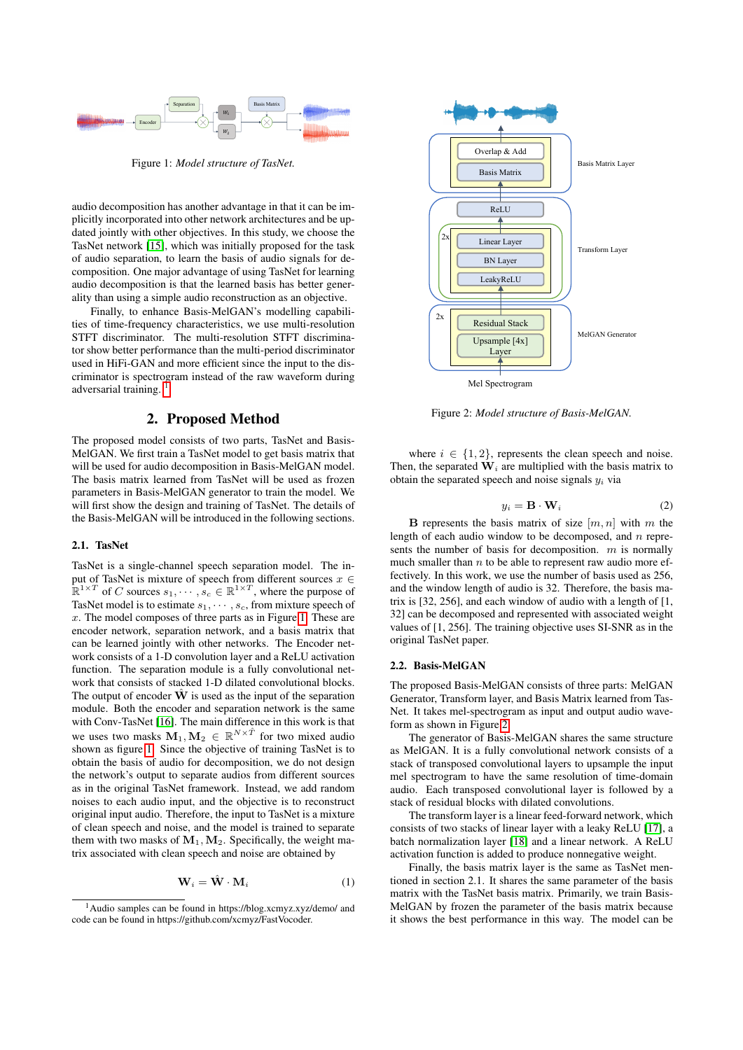<span id="page-1-1"></span>

Figure 1: *Model structure of TasNet.*

audio decomposition has another advantage in that it can be implicitly incorporated into other network architectures and be updated jointly with other objectives. In this study, we choose the TasNet network [\[15\]](#page-4-14), which was initially proposed for the task of audio separation, to learn the basis of audio signals for decomposition. One major advantage of using TasNet for learning audio decomposition is that the learned basis has better generality than using a simple audio reconstruction as an objective.

Finally, to enhance Basis-MelGAN's modelling capabilities of time-frequency characteristics, we use multi-resolution STFT discriminator. The multi-resolution STFT discriminator show better performance than the multi-period discriminator used in HiFi-GAN and more efficient since the input to the discriminator is spectrogram instead of the raw waveform during adversarial training.

# 2. Proposed Method

The proposed model consists of two parts, TasNet and Basis-MelGAN. We first train a TasNet model to get basis matrix that will be used for audio decomposition in Basis-MelGAN model. The basis matrix learned from TasNet will be used as frozen parameters in Basis-MelGAN generator to train the model. We will first show the design and training of TasNet. The details of the Basis-MelGAN will be introduced in the following sections.

#### 2.1. TasNet

TasNet is a single-channel speech separation model. The input of TasNet is mixture of speech from different sources  $x \in$  $\mathbb{R}^{1 \times T}$  of C sources  $s_1, \dots, s_c \in \mathbb{R}^{1 \times T}$ , where the purpose of TasNet model is to estimate  $s_1, \dots, s_c$ , from mixture speech of  $x$ . The model composes of three parts as in Figure [1.](#page-1-1) These are encoder network, separation network, and a basis matrix that can be learned jointly with other networks. The Encoder network consists of a 1-D convolution layer and a ReLU activation function. The separation module is a fully convolutional network that consists of stacked 1-D dilated convolutional blocks. The output of encoder  $\dot{W}$  is used as the input of the separation module. Both the encoder and separation network is the same with Conv-TasNet [\[16\]](#page-4-15). The main difference in this work is that we uses two masks  $M_1, M_2 \in \mathbb{R}^{N \times \hat{T}}$  for two mixed audio shown as figure [1.](#page-1-1) Since the objective of training TasNet is to obtain the basis of audio for decomposition, we do not design the network's output to separate audios from different sources as in the original TasNet framework. Instead, we add random noises to each audio input, and the objective is to reconstruct original input audio. Therefore, the input to TasNet is a mixture of clean speech and noise, and the model is trained to separate them with two masks of  $M_1, M_2$ . Specifically, the weight matrix associated with clean speech and noise are obtained by

$$
\mathbf{W}_i = \hat{\mathbf{W}} \cdot \mathbf{M}_i \tag{1}
$$

<span id="page-1-2"></span>

Figure 2: *Model structure of Basis-MelGAN.*

where  $i \in \{1, 2\}$ , represents the clean speech and noise. Then, the separated  $W_i$  are multiplied with the basis matrix to obtain the separated speech and noise signals  $y_i$  via

$$
y_i = \mathbf{B} \cdot \mathbf{W}_i \tag{2}
$$

**B** represents the basis matrix of size  $[m, n]$  with m the length of each audio window to be decomposed, and  $n$  represents the number of basis for decomposition.  $m$  is normally much smaller than  $n$  to be able to represent raw audio more effectively. In this work, we use the number of basis used as 256, and the window length of audio is 32. Therefore, the basis matrix is [32, 256], and each window of audio with a length of [1, 32] can be decomposed and represented with associated weight values of [1, 256]. The training objective uses SI-SNR as in the original TasNet paper.

### 2.2. Basis-MelGAN

The proposed Basis-MelGAN consists of three parts: MelGAN Generator, Transform layer, and Basis Matrix learned from Tas-Net. It takes mel-spectrogram as input and output audio waveform as shown in Figure [2.](#page-1-2)

The generator of Basis-MelGAN shares the same structure as MelGAN. It is a fully convolutional network consists of a stack of transposed convolutional layers to upsample the input mel spectrogram to have the same resolution of time-domain audio. Each transposed convolutional layer is followed by a stack of residual blocks with dilated convolutions.

The transform layer is a linear feed-forward network, which consists of two stacks of linear layer with a leaky ReLU [\[17\]](#page-4-16), a batch normalization layer [\[18\]](#page-4-17) and a linear network. A ReLU activation function is added to produce nonnegative weight.

Finally, the basis matrix layer is the same as TasNet mentioned in section 2.1. It shares the same parameter of the basis matrix with the TasNet basis matrix. Primarily, we train Basis-MelGAN by frozen the parameter of the basis matrix because it shows the best performance in this way. The model can be

<span id="page-1-0"></span><sup>1</sup>Audio samples can be found in https://blog.xcmyz.xyz/demo/ and code can be found in https://github.com/xcmyz/FastVocoder.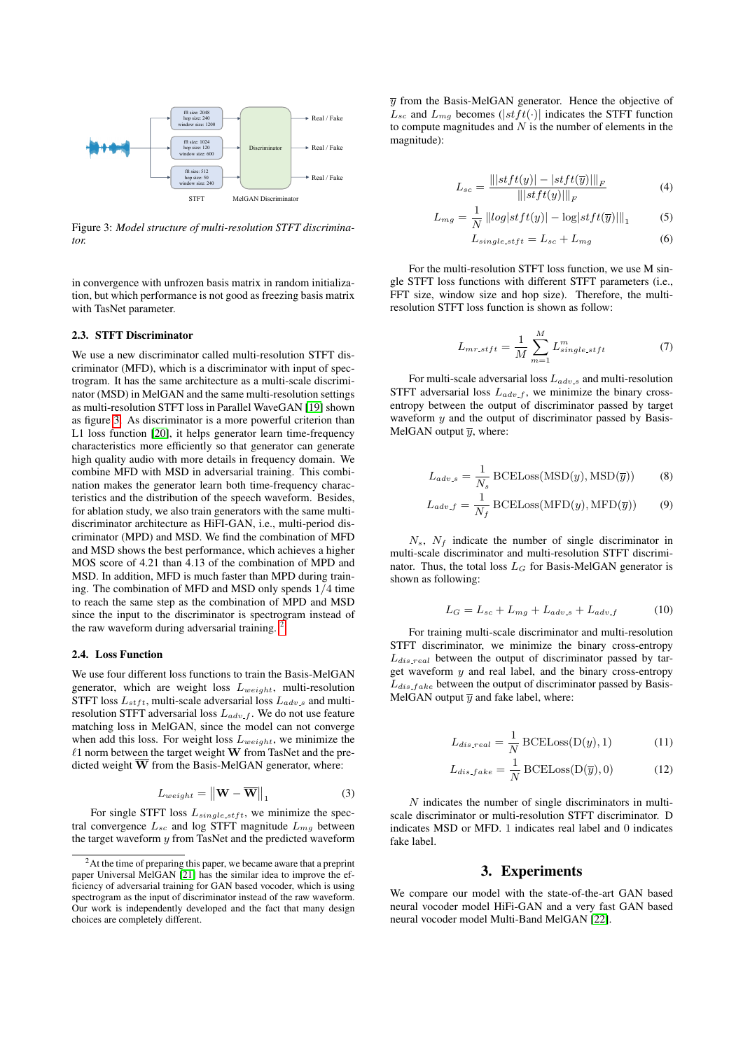<span id="page-2-0"></span>

Figure 3: *Model structure of multi-resolution STFT discriminator.*

in convergence with unfrozen basis matrix in random initialization, but which performance is not good as freezing basis matrix with TasNet parameter.

#### 2.3. STFT Discriminator

We use a new discriminator called multi-resolution STFT discriminator (MFD), which is a discriminator with input of spectrogram. It has the same architecture as a multi-scale discriminator (MSD) in MelGAN and the same multi-resolution settings as multi-resolution STFT loss in Parallel WaveGAN [\[19\]](#page-4-18) shown as figure [3.](#page-2-0) As discriminator is a more powerful criterion than L1 loss function [\[20\]](#page-4-19), it helps generator learn time-frequency characteristics more efficiently so that generator can generate high quality audio with more details in frequency domain. We combine MFD with MSD in adversarial training. This combination makes the generator learn both time-frequency characteristics and the distribution of the speech waveform. Besides, for ablation study, we also train generators with the same multidiscriminator architecture as HiFI-GAN, i.e., multi-period discriminator (MPD) and MSD. We find the combination of MFD and MSD shows the best performance, which achieves a higher MOS score of 4.21 than 4.13 of the combination of MPD and MSD. In addition, MFD is much faster than MPD during training. The combination of MFD and MSD only spends 1/4 time to reach the same step as the combination of MPD and MSD since the input to the discriminator is spectrogram instead of the raw waveform during adversarial training. [2](#page-2-1)

### 2.4. Loss Function

We use four different loss functions to train the Basis-MelGAN generator, which are weight loss  $L_{weight}$ , multi-resolution STFT loss  $L_{stft}$ , multi-scale adversarial loss  $L_{adv,s}$  and multiresolution STFT adversarial loss  $L_{adv.f}$ . We do not use feature matching loss in MelGAN, since the model can not converge when add this loss. For weight loss  $L_{weight}$ , we minimize the  $\ell$ 1 norm between the target weight W from TasNet and the predicted weight W from the Basis-MelGAN generator, where:

$$
L_{weight} = \left\| \mathbf{W} - \overline{\mathbf{W}} \right\|_1 \tag{3}
$$

For single STFT loss  $L_{single\_stft}$ , we minimize the spectral convergence  $L_{sc}$  and log STFT magnitude  $L_{ma}$  between the target waveform  $y$  from TasNet and the predicted waveform  $\overline{y}$  from the Basis-MelGAN generator. Hence the objective of  $L_{sc}$  and  $L_{mg}$  becomes (|stft(.)| indicates the STFT function to compute magnitudes and  $N$  is the number of elements in the magnitude):

$$
L_{sc} = \frac{\left\| |stft(y)| - |stft(\overline{y})| \right\|_F}{\left\| |stft(y)| \right\|_F}
$$
(4)

$$
L_{mg} = \frac{1}{N} ||log|stft(y)| - \log|stft(\overline{y})||_1
$$
 (5)

$$
L_{single\_stft} = L_{sc} + L_{mg} \tag{6}
$$

For the multi-resolution STFT loss function, we use M single STFT loss functions with different STFT parameters (i.e., FFT size, window size and hop size). Therefore, the multiresolution STFT loss function is shown as follow:

$$
L_{mr,stft} = \frac{1}{M} \sum_{m=1}^{M} L_{single.stft}^{m}
$$
 (7)

For multi-scale adversarial loss  $L_{adv,s}$  and multi-resolution STFT adversarial loss  $L_{adv-f}$ , we minimize the binary crossentropy between the output of discriminator passed by target waveform  $y$  and the output of discriminator passed by Basis-MelGAN output  $\overline{y}$ , where:

$$
L_{adv.s} = \frac{1}{N_s} \text{BCELoss}(\text{MSD}(y), \text{MSD}(\bar{y}))
$$
 (8)

$$
L_{adv.f} = \frac{1}{N_f} \text{BCELoss}(\text{MFD}(y), \text{MFD}(\overline{y})) \tag{9}
$$

 $N_s$ ,  $N_f$  indicate the number of single discriminator in multi-scale discriminator and multi-resolution STFT discriminator. Thus, the total loss  $L_G$  for Basis-MelGAN generator is shown as following:

$$
L_G = L_{sc} + L_{mg} + L_{adv\_s} + L_{adv\_f}
$$
 (10)

For training multi-scale discriminator and multi-resolution STFT discriminator, we minimize the binary cross-entropy  $L_{dis,real}$  between the output of discriminator passed by target waveform  $y$  and real label, and the binary cross-entropy  $L_{dis, fake}$  between the output of discriminator passed by Basis-MelGAN output  $\overline{y}$  and fake label, where:

$$
L_{dis.read} = \frac{1}{N} \text{BCELoss}(D(y), 1)
$$
 (11)

$$
L_{dis.fake} = \frac{1}{N} \text{BCELoss}(\mathcal{D}(\overline{y}), 0)
$$
 (12)

 $N$  indicates the number of single discriminators in multiscale discriminator or multi-resolution STFT discriminator. D indicates MSD or MFD. 1 indicates real label and 0 indicates fake label.

# 3. Experiments

We compare our model with the state-of-the-art GAN based neural vocoder model HiFi-GAN and a very fast GAN based neural vocoder model Multi-Band MelGAN [\[22\]](#page-4-21).

<span id="page-2-1"></span><sup>&</sup>lt;sup>2</sup>At the time of preparing this paper, we became aware that a preprint paper Universal MelGAN [\[21\]](#page-4-20) has the similar idea to improve the efficiency of adversarial training for GAN based vocoder, which is using spectrogram as the input of discriminator instead of the raw waveform. Our work is independently developed and the fact that many design choices are completely different.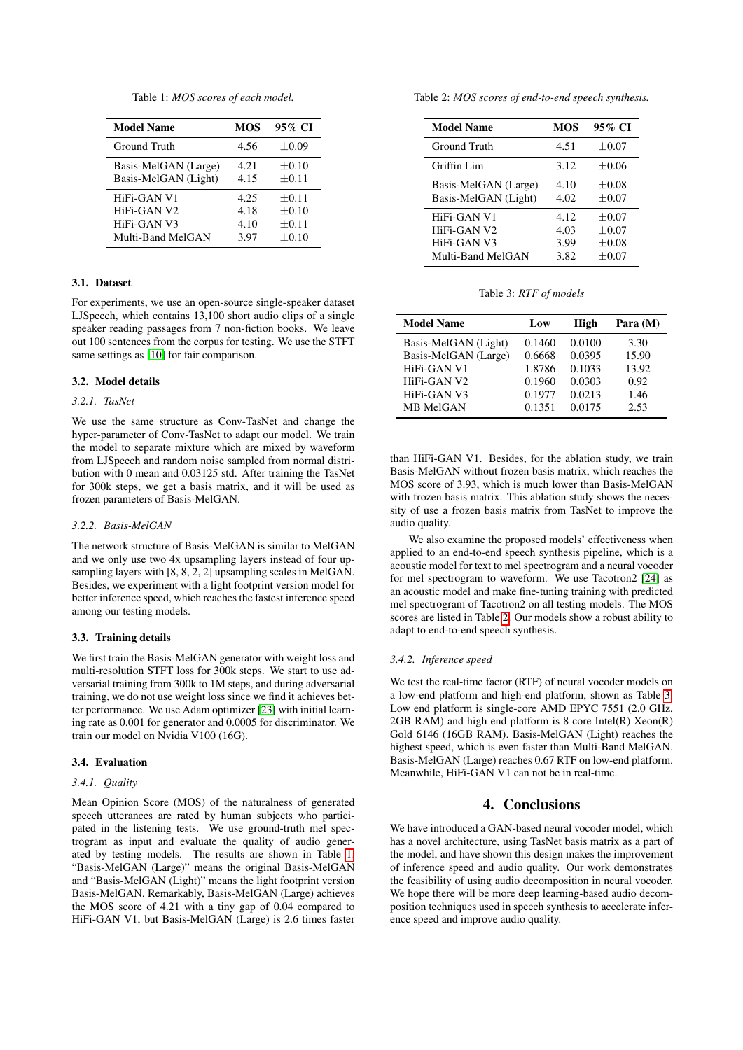Table 1: *MOS scores of each model.*

<span id="page-3-0"></span>

| <b>Model Name</b>    | MOS  | 95% CI     |
|----------------------|------|------------|
| Ground Truth         | 4.56 | $\pm 0.09$ |
| Basis-MelGAN (Large) | 4.21 | $+0.10$    |
| Basis-MelGAN (Light) | 4.15 | $\pm 0.11$ |
| HiFi-GAN V1          | 4.25 | $+0.11$    |
| HiFi-GAN V2          | 4.18 | $+0.10$    |
| HiFi-GAN V3          | 4.10 | $+0.11$    |
| Multi-Band MelGAN    | 3.97 | $\pm 0.10$ |

### 3.1. Dataset

For experiments, we use an open-source single-speaker dataset LJSpeech, which contains 13,100 short audio clips of a single speaker reading passages from 7 non-fiction books. We leave out 100 sentences from the corpus for testing. We use the STFT same settings as [\[10\]](#page-4-9) for fair comparison.

## 3.2. Model details

## *3.2.1. TasNet*

We use the same structure as Conv-TasNet and change the hyper-parameter of Conv-TasNet to adapt our model. We train the model to separate mixture which are mixed by waveform from LJSpeech and random noise sampled from normal distribution with 0 mean and 0.03125 std. After training the TasNet for 300k steps, we get a basis matrix, and it will be used as frozen parameters of Basis-MelGAN.

## *3.2.2. Basis-MelGAN*

The network structure of Basis-MelGAN is similar to MelGAN and we only use two 4x upsampling layers instead of four upsampling layers with [8, 8, 2, 2] upsampling scales in MelGAN. Besides, we experiment with a light footprint version model for better inference speed, which reaches the fastest inference speed among our testing models.

## 3.3. Training details

We first train the Basis-MelGAN generator with weight loss and multi-resolution STFT loss for 300k steps. We start to use adversarial training from 300k to 1M steps, and during adversarial training, we do not use weight loss since we find it achieves better performance. We use Adam optimizer [\[23\]](#page-4-22) with initial learning rate as 0.001 for generator and 0.0005 for discriminator. We train our model on Nvidia V100 (16G).

#### 3.4. Evaluation

#### *3.4.1. Quality*

Mean Opinion Score (MOS) of the naturalness of generated speech utterances are rated by human subjects who participated in the listening tests. We use ground-truth mel spectrogram as input and evaluate the quality of audio generated by testing models. The results are shown in Table [1.](#page-3-0) "Basis-MelGAN (Large)" means the original Basis-MelGAN and "Basis-MelGAN (Light)" means the light footprint version Basis-MelGAN. Remarkably, Basis-MelGAN (Large) achieves the MOS score of 4.21 with a tiny gap of 0.04 compared to HiFi-GAN V1, but Basis-MelGAN (Large) is 2.6 times faster <span id="page-3-1"></span>Table 2: *MOS scores of end-to-end speech synthesis.*

| <b>Model Name</b>                            | <b>MOS</b>           | 95% CI                        |
|----------------------------------------------|----------------------|-------------------------------|
| Ground Truth                                 | 4.51                 | $+0.07$                       |
| Griffin Lim                                  | 3.12                 | $+0.06$                       |
| Basis-MelGAN (Large)<br>Basis-MelGAN (Light) | 4.10<br>4.02         | $+0.08$<br>$\pm 0.07$         |
| HiFi-GAN V1<br>HiFi-GAN V2<br>HiFi-GAN V3    | 4.12<br>4.03<br>3.99 | $+0.07$<br>$+0.07$<br>$+0.08$ |
| Multi-Band MelGAN                            | 3.82                 | $+0.07$                       |

Table 3: *RTF of models*

<span id="page-3-2"></span>

| <b>Model Name</b>    | Low    | High   | Para $(M)$ |
|----------------------|--------|--------|------------|
| Basis-MelGAN (Light) | 0.1460 | 0.0100 | 3.30       |
| Basis-MelGAN (Large) | 0.6668 | 0.0395 | 15.90      |
| HiFi-GAN V1          | 1.8786 | 0.1033 | 13.92      |
| HiFi-GAN V2          | 0.1960 | 0.0303 | 0.92       |
| HiFi-GAN V3          | 0.1977 | 0.0213 | 1.46       |
| <b>MB MelGAN</b>     | 0.1351 | 0.0175 | 2.53       |

than HiFi-GAN V1. Besides, for the ablation study, we train Basis-MelGAN without frozen basis matrix, which reaches the MOS score of 3.93, which is much lower than Basis-MelGAN with frozen basis matrix. This ablation study shows the necessity of use a frozen basis matrix from TasNet to improve the audio quality.

We also examine the proposed models' effectiveness when applied to an end-to-end speech synthesis pipeline, which is a acoustic model for text to mel spectrogram and a neural vocoder for mel spectrogram to waveform. We use Tacotron2 [\[24\]](#page-4-23) as an acoustic model and make fine-tuning training with predicted mel spectrogram of Tacotron2 on all testing models. The MOS scores are listed in Table [2.](#page-3-1) Our models show a robust ability to adapt to end-to-end speech synthesis.

#### *3.4.2. Inference speed*

We test the real-time factor (RTF) of neural vocoder models on a low-end platform and high-end platform, shown as Table [3.](#page-3-2) Low end platform is single-core AMD EPYC 7551 (2.0 GHz,  $2GB$  RAM) and high end platform is 8 core Intel(R)  $Xeon(R)$ Gold 6146 (16GB RAM). Basis-MelGAN (Light) reaches the highest speed, which is even faster than Multi-Band MelGAN. Basis-MelGAN (Large) reaches 0.67 RTF on low-end platform. Meanwhile, HiFi-GAN V1 can not be in real-time.

# 4. Conclusions

We have introduced a GAN-based neural vocoder model, which has a novel architecture, using TasNet basis matrix as a part of the model, and have shown this design makes the improvement of inference speed and audio quality. Our work demonstrates the feasibility of using audio decomposition in neural vocoder. We hope there will be more deep learning-based audio decomposition techniques used in speech synthesis to accelerate inference speed and improve audio quality.